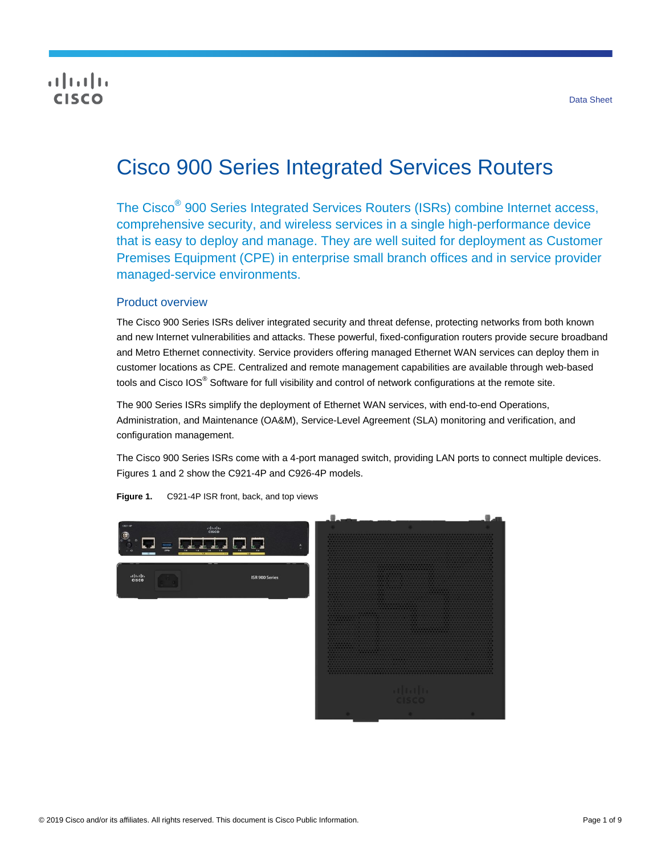## **CISCO**

# Cisco 900 Series Integrated Services Routers

The Cisco® 900 Series Integrated Services Routers (ISRs) combine Internet access, comprehensive security, and wireless services in a single high-performance device that is easy to deploy and manage. They are well suited for deployment as Customer Premises Equipment (CPE) in enterprise small branch offices and in service provider managed-service environments.

## Product overview

The Cisco 900 Series ISRs deliver integrated security and threat defense, protecting networks from both known and new Internet vulnerabilities and attacks. These powerful, fixed-configuration routers provide secure broadband and Metro Ethernet connectivity. Service providers offering managed Ethernet WAN services can deploy them in customer locations as CPE. Centralized and remote management capabilities are available through web-based tools and Cisco IOS<sup>®</sup> Software for full visibility and control of network configurations at the remote site.

The 900 Series ISRs simplify the deployment of Ethernet WAN services, with end-to-end Operations, Administration, and Maintenance (OA&M), Service-Level Agreement (SLA) monitoring and verification, and configuration management.

The Cisco 900 Series ISRs come with a 4-port managed switch, providing LAN ports to connect multiple devices. Figures 1 and 2 show the C921-4P and C926-4P models.



**Figure 1.** C921-4P ISR front, back, and top views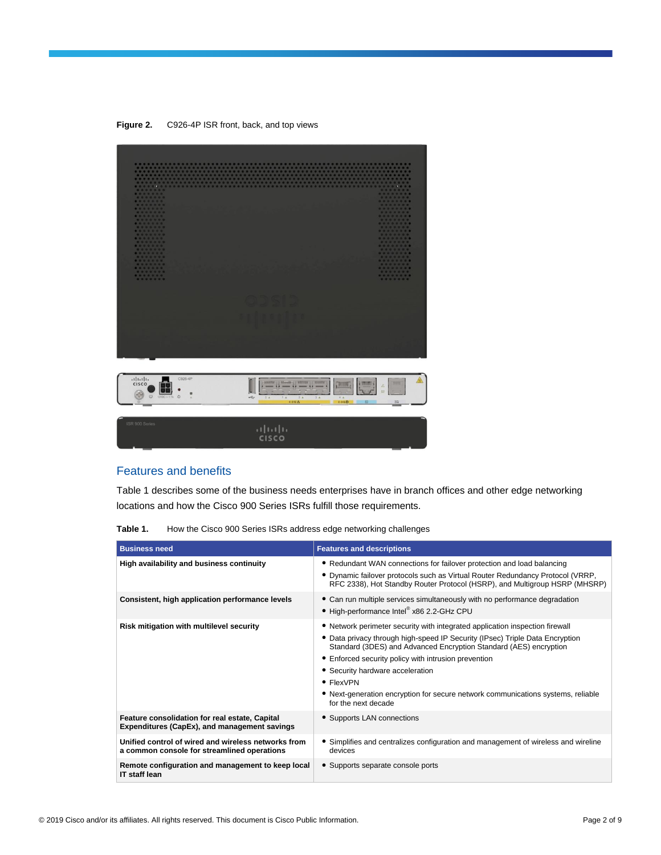**Figure 2.** C926-4P ISR front, back, and top views



| ISR 900 Series | (111111)     |  |
|----------------|--------------|--|
|                |              |  |
|                | <b>CISCO</b> |  |
|                |              |  |
|                |              |  |

## Features and benefits

Table 1 describes some of the business needs enterprises have in branch offices and other edge networking locations and how the Cisco 900 Series ISRs fulfill those requirements.

| Table 1. |  |  |  | How the Cisco 900 Series ISRs address edge networking challenges |
|----------|--|--|--|------------------------------------------------------------------|
|          |  |  |  |                                                                  |

| <b>Business need</b>                                                                               | <b>Features and descriptions</b>                                                                                                                                                                                                                                                                                                                                                                                                                      |
|----------------------------------------------------------------------------------------------------|-------------------------------------------------------------------------------------------------------------------------------------------------------------------------------------------------------------------------------------------------------------------------------------------------------------------------------------------------------------------------------------------------------------------------------------------------------|
| High availability and business continuity                                                          | • Redundant WAN connections for failover protection and load balancing<br>. Dynamic failover protocols such as Virtual Router Redundancy Protocol (VRRP,<br>RFC 2338), Hot Standby Router Protocol (HSRP), and Multigroup HSRP (MHSRP)                                                                                                                                                                                                                |
| Consistent, high application performance levels                                                    | • Can run multiple services simultaneously with no performance degradation<br>• High-performance Intel® x86 2.2-GHz CPU                                                                                                                                                                                                                                                                                                                               |
| Risk mitigation with multilevel security                                                           | • Network perimeter security with integrated application inspection firewall<br>• Data privacy through high-speed IP Security (IPsec) Triple Data Encryption<br>Standard (3DES) and Advanced Encryption Standard (AES) encryption<br>• Enforced security policy with intrusion prevention<br>• Security hardware acceleration<br>• FlexVPN<br>• Next-generation encryption for secure network communications systems, reliable<br>for the next decade |
| Feature consolidation for real estate, Capital<br>Expenditures (CapEx), and management savings     | • Supports LAN connections                                                                                                                                                                                                                                                                                                                                                                                                                            |
| Unified control of wired and wireless networks from<br>a common console for streamlined operations | • Simplifies and centralizes configuration and management of wireless and wireline<br>devices                                                                                                                                                                                                                                                                                                                                                         |
| Remote configuration and management to keep local<br><b>IT staff lean</b>                          | • Supports separate console ports                                                                                                                                                                                                                                                                                                                                                                                                                     |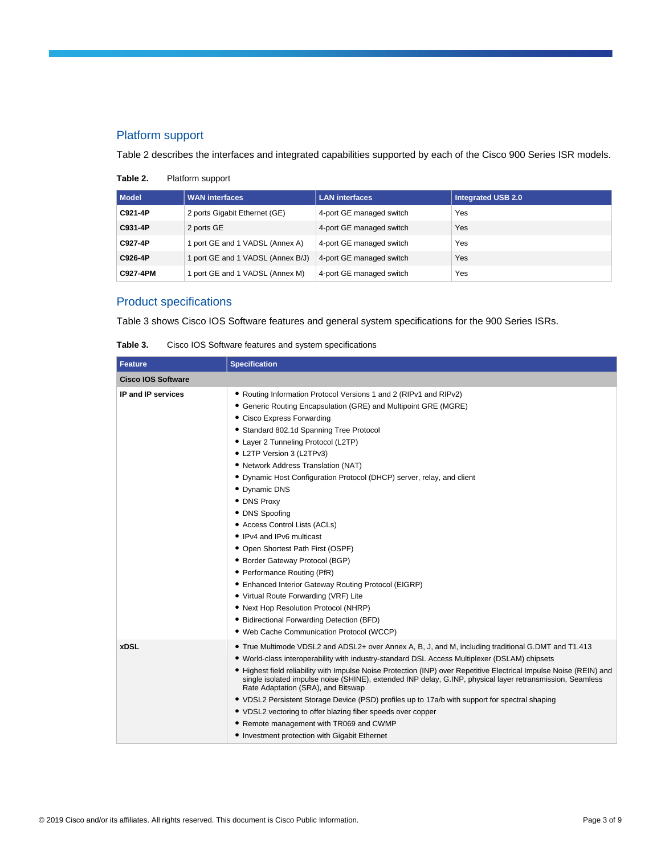## Platform support

Table 2 describes the interfaces and integrated capabilities supported by each of the Cisco 900 Series ISR models.

| Table 2. | Platform support |  |
|----------|------------------|--|
|          |                  |  |

| <b>Model</b> | <b>WAN interfaces</b>           | <b>LAN</b> interfaces    | <b>Integrated USB 2.0</b> |
|--------------|---------------------------------|--------------------------|---------------------------|
| C921-4P      | 2 ports Gigabit Ethernet (GE)   | 4-port GE managed switch | Yes                       |
| C931-4P      | 2 ports GE                      | 4-port GE managed switch | Yes                       |
| C927-4P      | port GE and 1 VADSL (Annex A)   | 4-port GE managed switch | Yes                       |
| C926-4P      | port GE and 1 VADSL (Annex B/J) | 4-port GE managed switch | Yes                       |
| C927-4PM     | port GE and 1 VADSL (Annex M)   | 4-port GE managed switch | Yes                       |

## Product specifications

Table 3 shows Cisco IOS Software features and general system specifications for the 900 Series ISRs.

| Table 3.                  | Cisco IOS Software features and system specifications                                                                                                                                                                                                                                                                                                                                                                                                                                                                                                                                                                                                                                                                                                                                                                                                           |
|---------------------------|-----------------------------------------------------------------------------------------------------------------------------------------------------------------------------------------------------------------------------------------------------------------------------------------------------------------------------------------------------------------------------------------------------------------------------------------------------------------------------------------------------------------------------------------------------------------------------------------------------------------------------------------------------------------------------------------------------------------------------------------------------------------------------------------------------------------------------------------------------------------|
| Feature                   | <b>Specification</b>                                                                                                                                                                                                                                                                                                                                                                                                                                                                                                                                                                                                                                                                                                                                                                                                                                            |
| <b>Cisco IOS Software</b> |                                                                                                                                                                                                                                                                                                                                                                                                                                                                                                                                                                                                                                                                                                                                                                                                                                                                 |
| IP and IP services        | • Routing Information Protocol Versions 1 and 2 (RIPv1 and RIPv2)<br>• Generic Routing Encapsulation (GRE) and Multipoint GRE (MGRE)<br>• Cisco Express Forwarding<br>• Standard 802.1d Spanning Tree Protocol<br>• Layer 2 Tunneling Protocol (L2TP)<br>• L2TP Version 3 (L2TPv3)<br>• Network Address Translation (NAT)<br>• Dynamic Host Configuration Protocol (DHCP) server, relay, and client<br>• Dynamic DNS<br>• DNS Proxy<br>• DNS Spoofing<br>• Access Control Lists (ACLs)<br>• IPv4 and IPv6 multicast<br>• Open Shortest Path First (OSPF)<br>• Border Gateway Protocol (BGP)<br>• Performance Routing (PfR)<br>• Enhanced Interior Gateway Routing Protocol (EIGRP)<br>• Virtual Route Forwarding (VRF) Lite<br>• Next Hop Resolution Protocol (NHRP)<br>• Bidirectional Forwarding Detection (BFD)<br>. Web Cache Communication Protocol (WCCP) |
| <b>xDSL</b>               | • True Multimode VDSL2 and ADSL2+ over Annex A, B, J, and M, including traditional G.DMT and T1.413<br>• World-class interoperability with industry-standard DSL Access Multiplexer (DSLAM) chipsets<br>• Highest field reliability with Impulse Noise Protection (INP) over Repetitive Electrical Impulse Noise (REIN) and<br>single isolated impulse noise (SHINE), extended INP delay, G.INP, physical layer retransmission, Seamless<br>Rate Adaptation (SRA), and Bitswap<br>• VDSL2 Persistent Storage Device (PSD) profiles up to 17a/b with support for spectral shaping                                                                                                                                                                                                                                                                                |

● VDSL2 vectoring to offer blazing fiber speeds over copper

● Remote management with TR069 and CWMP ● Investment protection with Gigabit Ethernet

| Table 3. |  |  | Cisco IOS Software features and system specifications |
|----------|--|--|-------------------------------------------------------|
|          |  |  |                                                       |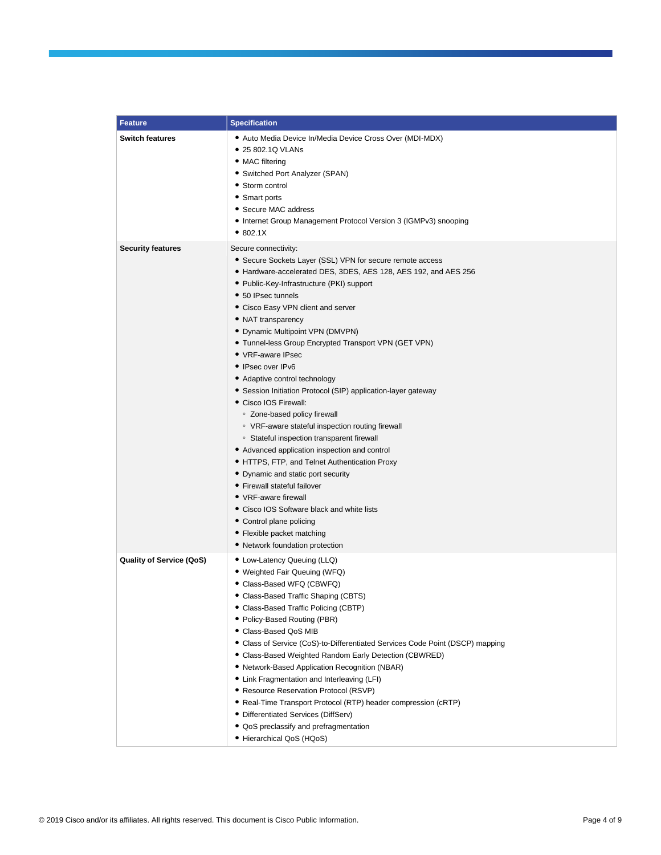| <b>Feature</b>                  | <b>Specification</b>                                                                                                                                                                                                                                                                                                                                                                                                                                                                                                                                                                                                                                                                                                                                                                                                                                                                                                                                                                                                                          |
|---------------------------------|-----------------------------------------------------------------------------------------------------------------------------------------------------------------------------------------------------------------------------------------------------------------------------------------------------------------------------------------------------------------------------------------------------------------------------------------------------------------------------------------------------------------------------------------------------------------------------------------------------------------------------------------------------------------------------------------------------------------------------------------------------------------------------------------------------------------------------------------------------------------------------------------------------------------------------------------------------------------------------------------------------------------------------------------------|
| <b>Switch features</b>          | • Auto Media Device In/Media Device Cross Over (MDI-MDX)<br>• 25 802.1Q VLANs<br>• MAC filtering<br>• Switched Port Analyzer (SPAN)<br>• Storm control<br>• Smart ports<br>• Secure MAC address<br>• Internet Group Management Protocol Version 3 (IGMPv3) snooping<br>• 802.1X                                                                                                                                                                                                                                                                                                                                                                                                                                                                                                                                                                                                                                                                                                                                                               |
| <b>Security features</b>        | Secure connectivity:<br>• Secure Sockets Layer (SSL) VPN for secure remote access<br>• Hardware-accelerated DES, 3DES, AES 128, AES 192, and AES 256<br>• Public-Key-Infrastructure (PKI) support<br>• 50 IPsec tunnels<br>• Cisco Easy VPN client and server<br>• NAT transparency<br>• Dynamic Multipoint VPN (DMVPN)<br>• Tunnel-less Group Encrypted Transport VPN (GET VPN)<br>• VRF-aware IPsec<br>• IPsec over IPv6<br>• Adaptive control technology<br>• Session Initiation Protocol (SIP) application-layer gateway<br>• Cisco IOS Firewall:<br>• Zone-based policy firewall<br>○ VRF-aware stateful inspection routing firewall<br><sup>o</sup> Stateful inspection transparent firewall<br>• Advanced application inspection and control<br>• HTTPS, FTP, and Telnet Authentication Proxy<br>• Dynamic and static port security<br>• Firewall stateful failover<br>• VRF-aware firewall<br>• Cisco IOS Software black and white lists<br>• Control plane policing<br>• Flexible packet matching<br>• Network foundation protection |
| <b>Quality of Service (QoS)</b> | • Low-Latency Queuing (LLQ)<br>• Weighted Fair Queuing (WFQ)<br>• Class-Based WFQ (CBWFQ)<br>• Class-Based Traffic Shaping (CBTS)<br>• Class-Based Traffic Policing (CBTP)<br>• Policy-Based Routing (PBR)<br>· Class-Based QoS MIB<br>• Class of Service (CoS)-to-Differentiated Services Code Point (DSCP) mapping<br>• Class-Based Weighted Random Early Detection (CBWRED)<br>• Network-Based Application Recognition (NBAR)<br>• Link Fragmentation and Interleaving (LFI)<br>• Resource Reservation Protocol (RSVP)<br>• Real-Time Transport Protocol (RTP) header compression (cRTP)<br>• Differentiated Services (DiffServ)<br>• QoS preclassify and prefragmentation<br>• Hierarchical QoS (HQoS)                                                                                                                                                                                                                                                                                                                                    |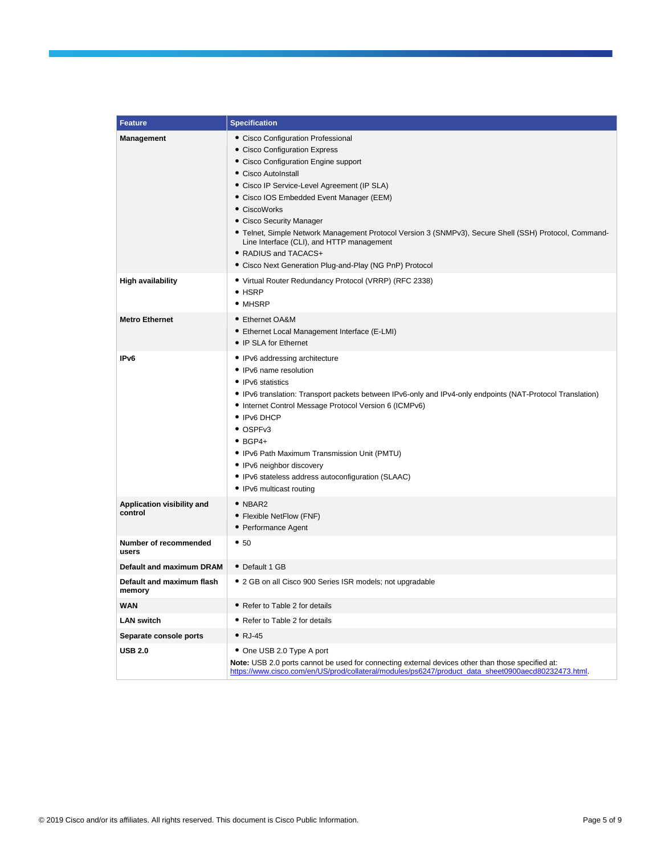| <b>Feature</b>                        | <b>Specification</b>                                                                                                                                                                                                                                                                                                                                                                                                                                                                                                |  |  |
|---------------------------------------|---------------------------------------------------------------------------------------------------------------------------------------------------------------------------------------------------------------------------------------------------------------------------------------------------------------------------------------------------------------------------------------------------------------------------------------------------------------------------------------------------------------------|--|--|
| <b>Management</b>                     | • Cisco Configuration Professional<br>• Cisco Configuration Express<br>• Cisco Configuration Engine support<br>• Cisco AutoInstall<br>• Cisco IP Service-Level Agreement (IP SLA)<br>• Cisco IOS Embedded Event Manager (EEM)<br>• CiscoWorks<br>• Cisco Security Manager<br>• Telnet, Simple Network Management Protocol Version 3 (SNMPv3), Secure Shell (SSH) Protocol, Command-<br>Line Interface (CLI), and HTTP management<br>• RADIUS and TACACS+<br>• Cisco Next Generation Plug-and-Play (NG PnP) Protocol |  |  |
| <b>High availability</b>              | • Virtual Router Redundancy Protocol (VRRP) (RFC 2338)<br>$\bullet$ HSRP<br>• MHSRP                                                                                                                                                                                                                                                                                                                                                                                                                                 |  |  |
| <b>Metro Ethernet</b>                 | • Ethernet OA&M<br>• Ethernet Local Management Interface (E-LMI)<br>• IP SLA for Ethernet                                                                                                                                                                                                                                                                                                                                                                                                                           |  |  |
| IP <sub>v6</sub>                      | • IPv6 addressing architecture<br>• IPv6 name resolution<br>• IPv6 statistics<br>• IPv6 translation: Transport packets between IPv6-only and IPv4-only endpoints (NAT-Protocol Translation)<br>• Internet Control Message Protocol Version 6 (ICMPv6)<br>• IPv6 DHCP<br>• OSPFv3<br>$\bullet$ BGP4+<br>• IPv6 Path Maximum Transmission Unit (PMTU)<br>• IPv6 neighbor discovery<br>• IPv6 stateless address autoconfiguration (SLAAC)<br>• IPv6 multicast routing                                                  |  |  |
| Application visibility and<br>control | $\bullet$ NBAR2<br>• Flexible NetFlow (FNF)<br>• Performance Agent                                                                                                                                                                                                                                                                                                                                                                                                                                                  |  |  |
| Number of recommended<br>users        | • 50                                                                                                                                                                                                                                                                                                                                                                                                                                                                                                                |  |  |
| Default and maximum DRAM              | • Default 1 GB                                                                                                                                                                                                                                                                                                                                                                                                                                                                                                      |  |  |
| Default and maximum flash<br>memory   | • 2 GB on all Cisco 900 Series ISR models; not upgradable                                                                                                                                                                                                                                                                                                                                                                                                                                                           |  |  |
| <b>WAN</b>                            | • Refer to Table 2 for details                                                                                                                                                                                                                                                                                                                                                                                                                                                                                      |  |  |
| <b>LAN switch</b>                     | • Refer to Table 2 for details                                                                                                                                                                                                                                                                                                                                                                                                                                                                                      |  |  |
| Separate console ports                | $\bullet$ RJ-45                                                                                                                                                                                                                                                                                                                                                                                                                                                                                                     |  |  |
| <b>USB 2.0</b>                        | • One USB 2.0 Type A port<br><b>Note:</b> USB 2.0 ports cannot be used for connecting external devices other than those specified at:<br>https://www.cisco.com/en/US/prod/collateral/modules/ps6247/product data sheet0900aecd80232473.html.                                                                                                                                                                                                                                                                        |  |  |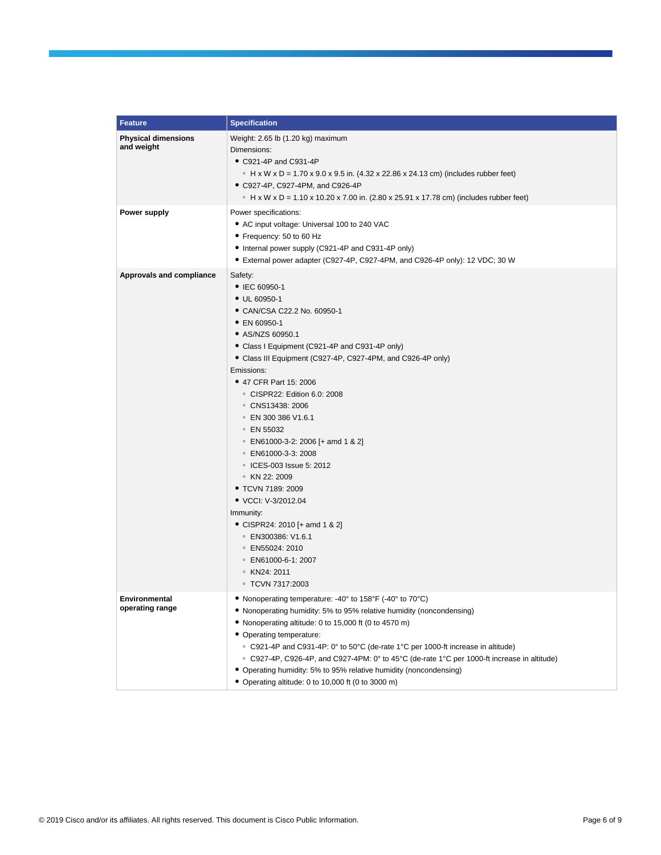| <b>Feature</b>                           | <b>Specification</b>                                                                                                                                                                                                                                                                                                                                                                                                                                                                                                                                                                                                                                                                               |
|------------------------------------------|----------------------------------------------------------------------------------------------------------------------------------------------------------------------------------------------------------------------------------------------------------------------------------------------------------------------------------------------------------------------------------------------------------------------------------------------------------------------------------------------------------------------------------------------------------------------------------------------------------------------------------------------------------------------------------------------------|
| <b>Physical dimensions</b><br>and weight | Weight: 2.65 lb (1.20 kg) maximum<br>Dimensions:<br>• C921-4P and C931-4P<br>∘ H x W x D = 1.70 x 9.0 x 9.5 in. $(4.32 \times 22.86 \times 24.13 \text{ cm})$ (includes rubber feet)<br>• C927-4P, C927-4PM, and C926-4P<br>• H x W x D = 1.10 x 10.20 x 7.00 in. (2.80 x 25.91 x 17.78 cm) (includes rubber feet)                                                                                                                                                                                                                                                                                                                                                                                 |
| Power supply                             | Power specifications:<br>• AC input voltage: Universal 100 to 240 VAC<br>• Frequency: 50 to 60 Hz<br>• Internal power supply (C921-4P and C931-4P only)<br>• External power adapter (C927-4P, C927-4PM, and C926-4P only): 12 VDC; 30 W                                                                                                                                                                                                                                                                                                                                                                                                                                                            |
| Approvals and compliance                 | Safety:<br>• IEC 60950-1<br>$\bullet$ UL 60950-1<br>• CAN/CSA C22.2 No. 60950-1<br>• EN 60950-1<br>• AS/NZS 60950.1<br>• Class I Equipment (C921-4P and C931-4P only)<br>• Class III Equipment (C927-4P, C927-4PM, and C926-4P only)<br>Emissions:<br>• 47 CFR Part 15: 2006<br>© CISPR22: Edition 6.0: 2008<br>© CNS13438: 2006<br>© EN 300 386 V1.6.1<br>$\circ$ EN 55032<br>• EN61000-3-2: 2006 [+ amd 1 & 2]<br>© EN61000-3-3: 2008<br>○ ICES-003 Issue 5: 2012<br>∘ KN 22: 2009<br>• TCVN 7189: 2009<br>• VCCI: V-3/2012.04<br>Immunity:<br>• CISPR24: 2010 [+ amd 1 & 2]<br>$\degree$ EN300386: V1.6.1<br>$\degree$ EN55024: 2010<br>• EN61000-6-1: 2007<br>∘ KN24: 2011<br>○ TCVN 7317:2003 |
| Environmental<br>operating range         | • Nonoperating temperature: -40° to 158°F (-40° to 70°C)<br>• Nonoperating humidity: 5% to 95% relative humidity (noncondensing)<br>• Nonoperating altitude: 0 to 15,000 ft (0 to 4570 m)<br>• Operating temperature:<br>○ C921-4P and C931-4P: 0° to 50°C (de-rate 1°C per 1000-ft increase in altitude)<br>© C927-4P, C926-4P, and C927-4PM: 0° to 45°C (de-rate 1°C per 1000-ft increase in altitude)<br>• Operating humidity: 5% to 95% relative humidity (noncondensing)<br>• Operating altitude: 0 to 10,000 ft (0 to 3000 m)                                                                                                                                                                |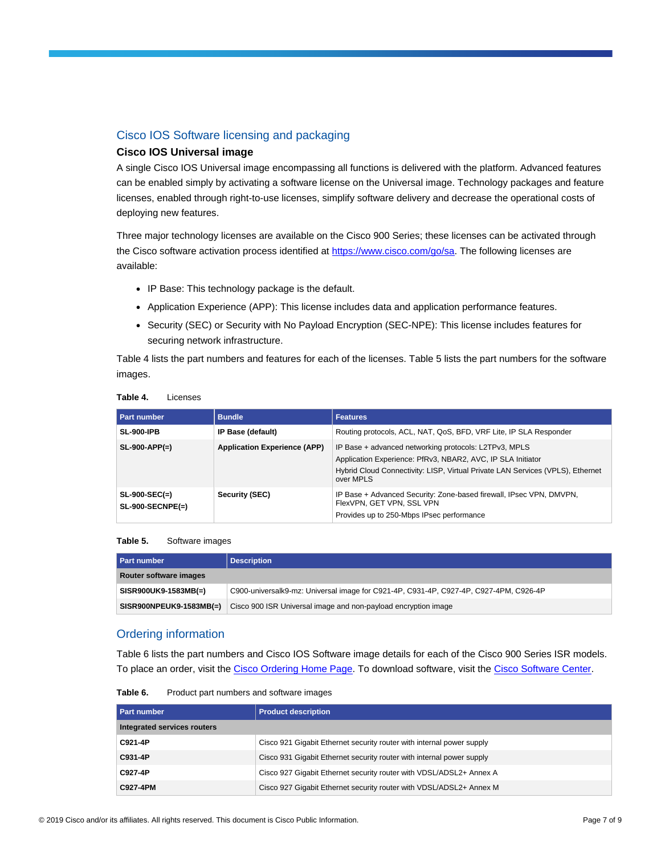## Cisco IOS Software licensing and packaging

## **Cisco IOS Universal image**

A single Cisco IOS Universal image encompassing all functions is delivered with the platform. Advanced features can be enabled simply by activating a software license on the Universal image. Technology packages and feature licenses, enabled through right-to-use licenses, simplify software delivery and decrease the operational costs of deploying new features.

Three major technology licenses are available on the Cisco 900 Series; these licenses can be activated through the Cisco software activation process identified a[t https://www.cisco.com/go/sa.](https://www.cisco.com/go/sa) The following licenses are available:

- IP Base: This technology package is the default.
- Application Experience (APP): This license includes data and application performance features.
- Security (SEC) or Security with No Payload Encryption (SEC-NPE): This license includes features for securing network infrastructure.

Table 4 lists the part numbers and features for each of the licenses. Table 5 lists the part numbers for the software images.

| Part number                           | <b>Bundle</b>                       | <b>Features</b>                                                                                                                                                                                                     |
|---------------------------------------|-------------------------------------|---------------------------------------------------------------------------------------------------------------------------------------------------------------------------------------------------------------------|
| <b>SL-900-IPB</b>                     | IP Base (default)                   | Routing protocols, ACL, NAT, QoS, BFD, VRF Lite, IP SLA Responder                                                                                                                                                   |
| $SL-900-APP(=)$                       | <b>Application Experience (APP)</b> | IP Base + advanced networking protocols: L2TPv3, MPLS<br>Application Experience: PfRv3, NBAR2, AVC, IP SLA Initiator<br>Hybrid Cloud Connectivity: LISP, Virtual Private LAN Services (VPLS), Ethernet<br>over MPLS |
| $SL-900-SEC(=)$<br>$SL-900-SECNPE(=)$ | Security (SEC)                      | IP Base + Advanced Security: Zone-based firewall, IPsec VPN, DMVPN,<br>FlexVPN, GET VPN, SSL VPN<br>Provides up to 250-Mbps IPsec performance                                                                       |

#### **Table 4.** Licenses

#### **Table 5.** Software images

| <b>Part number</b>      | <b>Description</b>                                                                    |
|-------------------------|---------------------------------------------------------------------------------------|
| Router software images  |                                                                                       |
| SISR900UK9-1583MB(=)    | C900-universalk9-mz: Universal image for C921-4P, C931-4P, C927-4P, C927-4PM, C926-4P |
| SISR900NPEUK9-1583MB(=) | Cisco 900 ISR Universal image and non-payload encryption image                        |

## Ordering information

Table 6 lists the part numbers and Cisco IOS Software image details for each of the Cisco 900 Series ISR models. To place an order, visit th[e Cisco Ordering Home Page.](https://www.cisco.com/web/ordering/root/index.html) To download software, visit th[e Cisco Software Center.](https://software.cisco.com/download/navigator.html)

**Table 6.** Product part numbers and software images

| <b>Part number</b>          | <b>Product description</b>                                            |  |
|-----------------------------|-----------------------------------------------------------------------|--|
| Integrated services routers |                                                                       |  |
| C921-4P                     | Cisco 921 Gigabit Ethernet security router with internal power supply |  |
| C931-4P                     | Cisco 931 Gigabit Ethernet security router with internal power supply |  |
| C927-4P                     | Cisco 927 Gigabit Ethernet security router with VDSL/ADSL2+ Annex A   |  |
| C927-4PM                    | Cisco 927 Gigabit Ethernet security router with VDSL/ADSL2+ Annex M   |  |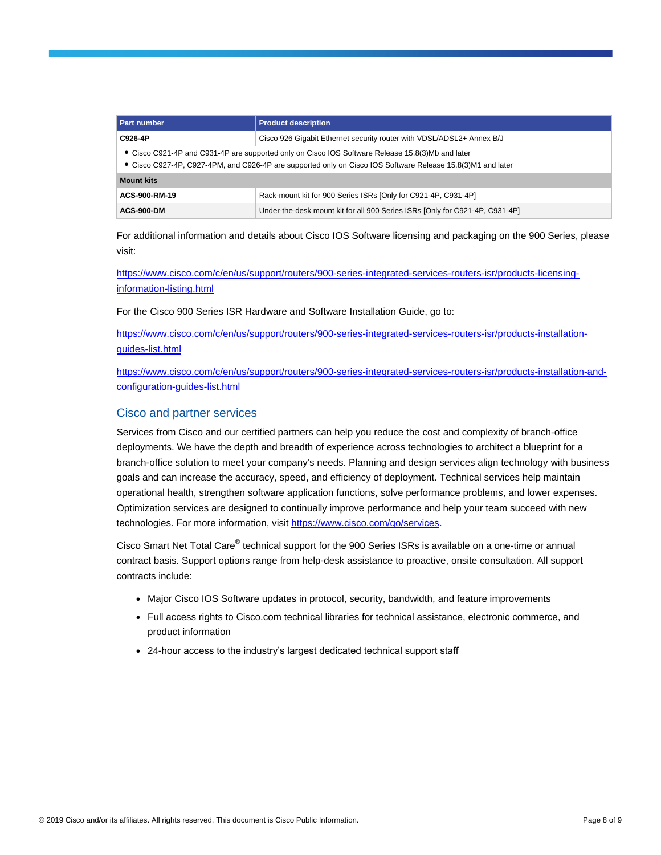| <b>Part number</b>                                                                                                                                                                                              | <b>Product description</b>                                                   |
|-----------------------------------------------------------------------------------------------------------------------------------------------------------------------------------------------------------------|------------------------------------------------------------------------------|
| C926-4P                                                                                                                                                                                                         | Cisco 926 Gigabit Ethernet security router with VDSL/ADSL2+ Annex B/J        |
| • Cisco C921-4P and C931-4P are supported only on Cisco IOS Software Release 15.8(3)Mb and later<br>• Cisco C927-4P, C927-4PM, and C926-4P are supported only on Cisco IOS Software Release 15.8(3)M1 and later |                                                                              |
| <b>Mount kits</b>                                                                                                                                                                                               |                                                                              |
| ACS-900-RM-19                                                                                                                                                                                                   | Rack-mount kit for 900 Series ISRs [Only for C921-4P, C931-4P]               |
| <b>ACS-900-DM</b>                                                                                                                                                                                               | Under-the-desk mount kit for all 900 Series ISRs [Only for C921-4P, C931-4P] |

For additional information and details about Cisco IOS Software licensing and packaging on the 900 Series, please visit:

[https://www.cisco.com/c/en/us/support/routers/900-series-integrated-services-routers-isr/products-licensing](https://www.cisco.com/c/en/us/support/routers/900-series-integrated-services-routers-isr/products-licensing-information-listing.html)[information-listing.html](https://www.cisco.com/c/en/us/support/routers/900-series-integrated-services-routers-isr/products-licensing-information-listing.html)

For the Cisco 900 Series ISR Hardware and Software Installation Guide, go to:

[https://www.cisco.com/c/en/us/support/routers/900-series-integrated-services-routers-isr/products-installation](https://www.cisco.com/c/en/us/support/routers/900-series-integrated-services-routers-isr/products-installation-guides-list.html)[guides-list.html](https://www.cisco.com/c/en/us/support/routers/900-series-integrated-services-routers-isr/products-installation-guides-list.html)

[https://www.cisco.com/c/en/us/support/routers/900-series-integrated-services-routers-isr/products-installation-and](https://www.cisco.com/c/en/us/support/routers/900-series-integrated-services-routers-isr/products-installation-and-configuration-guides-list.html)[configuration-guides-list.html](https://www.cisco.com/c/en/us/support/routers/900-series-integrated-services-routers-isr/products-installation-and-configuration-guides-list.html)

## Cisco and partner services

Services from Cisco and our certified partners can help you reduce the cost and complexity of branch-office deployments. We have the depth and breadth of experience across technologies to architect a blueprint for a branch-office solution to meet your company's needs. Planning and design services align technology with business goals and can increase the accuracy, speed, and efficiency of deployment. Technical services help maintain operational health, strengthen software application functions, solve performance problems, and lower expenses. Optimization services are designed to continually improve performance and help your team succeed with new technologies. For more information, visit [https://www.cisco.com/go/services.](https://www.cisco.com/go/services)

Cisco Smart Net Total Care® technical support for the 900 Series ISRs is available on a one-time or annual contract basis. Support options range from help-desk assistance to proactive, onsite consultation. All support contracts include:

- Major Cisco IOS Software updates in protocol, security, bandwidth, and feature improvements
- Full access rights to Cisco.com technical libraries for technical assistance, electronic commerce, and product information
- 24-hour access to the industry's largest dedicated technical support staff